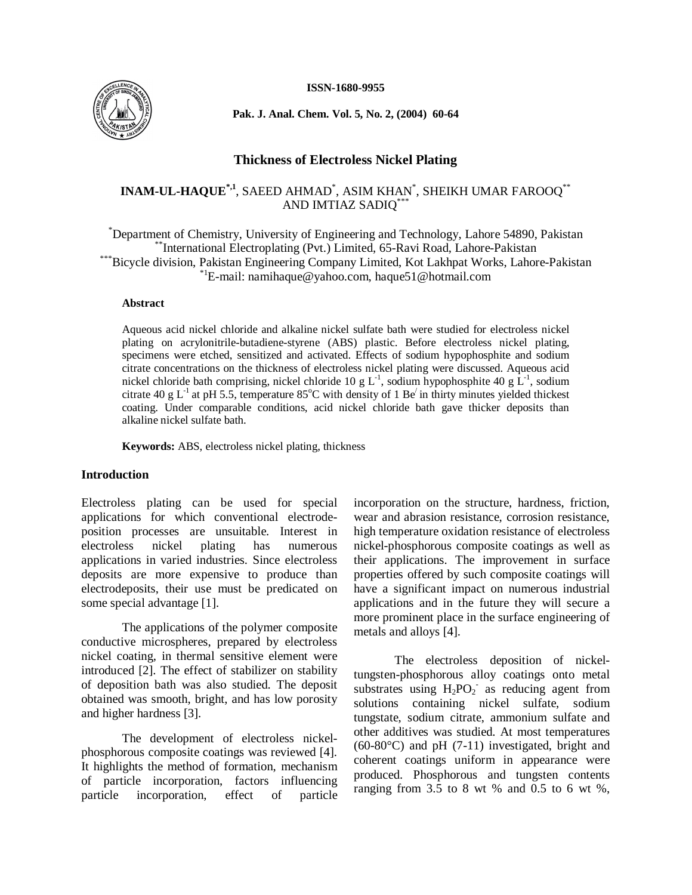**ISSN-1680-9955**



**Pak. J. Anal. Chem. Vol. 5, No. 2, (2004) 60-64**

## **Thickness of Electroless Nickel Plating**

# **INAM-UL-HAQUE\*,1**, SAEED AHMAD\* , ASIM KHAN\* , SHEIKH UMAR FAROOQ\*\* AND IMTIAZ SADIQ\*\*\*

\*Department of Chemistry, University of Engineering and Technology, Lahore 54890, Pakistan \*\*International Electroplating (Pvt.) Limited, 65-Ravi Road, Lahore-Pakistan \*Bicycle division, Pakistan Engineering Company Limited, Kot Lakhpat Works, Lahore-Pakistan \*1E-mail: namihaque@yahoo.com, haque51@hotmail.com

### **Abstract**

Aqueous acid nickel chloride and alkaline nickel sulfate bath were studied for electroless nickel plating on acrylonitrile-butadiene-styrene (ABS) plastic. Before electroless nickel plating, specimens were etched, sensitized and activated. Effects of sodium hypophosphite and sodium citrate concentrations on the thickness of electroless nickel plating were discussed. Aqueous acid nickel chloride bath comprising, nickel chloride 10 g  $L<sup>-1</sup>$ , sodium hypophosphite 40 g  $L<sup>-1</sup>$ , sodium citrate 40 g L<sup>-1</sup> at pH 5.5, temperature  $85^{\circ}$ C with density of 1 Be<sup> $\prime$ </sup> in thirty minutes yielded thickest coating. Under comparable conditions, acid nickel chloride bath gave thicker deposits than alkaline nickel sulfate bath.

**Keywords:** ABS, electroless nickel plating, thickness

## **Introduction**

Electroless plating can be used for special applications for which conventional electrodeposition processes are unsuitable. Interest in electroless nickel plating has numerous applications in varied industries. Since electroless deposits are more expensive to produce than electrodeposits, their use must be predicated on some special advantage [1].

The applications of the polymer composite conductive microspheres, prepared by electroless nickel coating, in thermal sensitive element were introduced [2]. The effect of stabilizer on stability of deposition bath was also studied. The deposit obtained was smooth, bright, and has low porosity and higher hardness [3].

The development of electroless nickelphosphorous composite coatings was reviewed [4]. It highlights the method of formation, mechanism of particle incorporation, factors influencing particle incorporation, effect of particle incorporation on the structure, hardness, friction, wear and abrasion resistance, corrosion resistance, high temperature oxidation resistance of electroless nickel-phosphorous composite coatings as well as their applications. The improvement in surface properties offered by such composite coatings will have a significant impact on numerous industrial applications and in the future they will secure a more prominent place in the surface engineering of metals and alloys [4].

The electroless deposition of nickeltungsten-phosphorous alloy coatings onto metal substrates using  $H_2PO_2$  as reducing agent from solutions containing nickel sulfate, sodium tungstate, sodium citrate, ammonium sulfate and other additives was studied. At most temperatures (60-80°C) and pH (7-11) investigated, bright and coherent coatings uniform in appearance were produced. Phosphorous and tungsten contents ranging from  $3.5$  to 8 wt % and 0.5 to 6 wt %,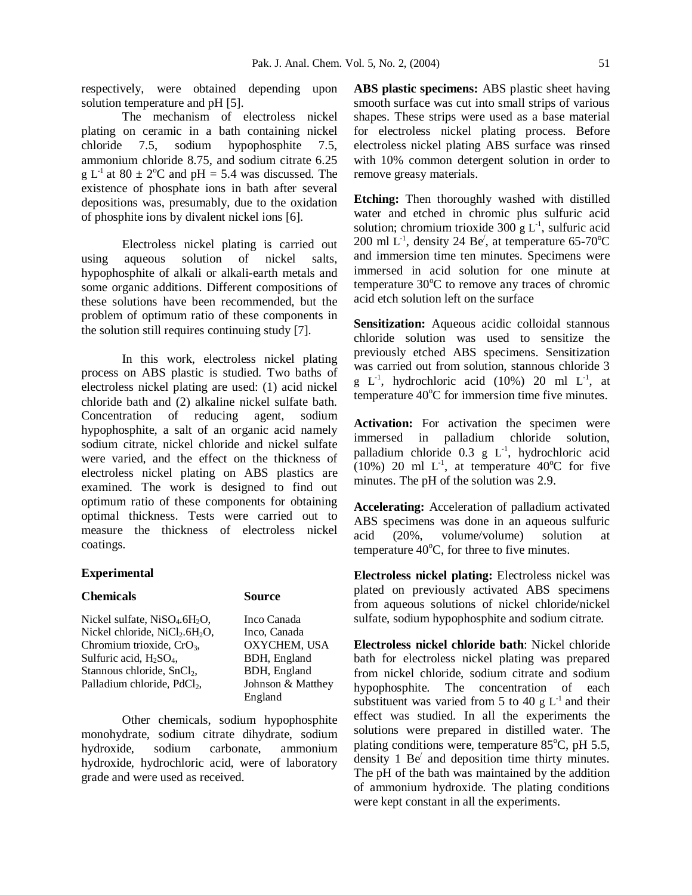respectively, were obtained depending upon solution temperature and pH [5].

The mechanism of electroless nickel plating on ceramic in a bath containing nickel chloride 7.5, sodium hypophosphite 7.5, ammonium chloride 8.75, and sodium citrate 6.25 g L<sup>-1</sup> at  $80 \pm 2$ <sup>o</sup>C and pH = 5.4 was discussed. The existence of phosphate ions in bath after several depositions was, presumably, due to the oxidation of phosphite ions by divalent nickel ions [6].

Electroless nickel plating is carried out using aqueous solution of nickel salts, hypophosphite of alkali or alkali-earth metals and some organic additions. Different compositions of these solutions have been recommended, but the problem of optimum ratio of these components in the solution still requires continuing study [7].

In this work, electroless nickel plating process on ABS plastic is studied. Two baths of electroless nickel plating are used: (1) acid nickel chloride bath and (2) alkaline nickel sulfate bath. Concentration of reducing agent, sodium hypophosphite, a salt of an organic acid namely sodium citrate, nickel chloride and nickel sulfate were varied, and the effect on the thickness of electroless nickel plating on ABS plastics are examined. The work is designed to find out optimum ratio of these components for obtaining optimal thickness. Tests were carried out to measure the thickness of electroless nickel coatings.

### **Experimental**

### **Chemicals Source**

Nickel sulfate, NiSO<sub>4</sub>.6H<sub>2</sub>O, Inco Canada<br>Nickel chloride, NiCl<sub>2</sub>.6H<sub>2</sub>O, Inco, Canada Nickel chloride,  $NiCl<sub>2</sub>.6H<sub>2</sub>O$ , Inco, Canada<br>Chromium trioxide,  $CrO<sub>3</sub>$ , OXYCHEM, USA Chromium trioxide, CrO<sub>3</sub>,  $OXYZHEM$ , U<br>Sulfuric acid, H<sub>2</sub>SO<sub>4</sub>, BDH, England Sulfuric acid, H<sub>2</sub>SO<sub>4</sub>, BDH, England<br>Stannous chloride, SnCl<sub>2</sub>, BDH, England Stannous chloride, SnCl<sub>2</sub>, BDH, England<br>Palladium chloride, PdCl<sub>2</sub>, Johnson & Matthey Palladium chloride, PdCl<sub>2</sub>, England

Other chemicals, sodium hypophosphite monohydrate, sodium citrate dihydrate, sodium hydroxide, sodium carbonate, ammonium hydroxide, hydrochloric acid, were of laboratory grade and were used as received.

**ABS plastic specimens:** ABS plastic sheet having smooth surface was cut into small strips of various shapes. These strips were used as a base material for electroless nickel plating process. Before electroless nickel plating ABS surface was rinsed with 10% common detergent solution in order to remove greasy materials.

**Etching:** Then thoroughly washed with distilled water and etched in chromic plus sulfuric acid solution; chromium trioxide 300 g  $L<sup>-1</sup>$ , sulfuric acid 200 ml L<sup>-1</sup>, density 24 Be<sup> $\ell$ </sup>, at temperature 65-70<sup>o</sup>C and immersion time ten minutes. Specimens were immersed in acid solution for one minute at temperature  $30^{\circ}$ C to remove any traces of chromic acid etch solution left on the surface

**Sensitization:** Aqueous acidic colloidal stannous chloride solution was used to sensitize the previously etched ABS specimens. Sensitization was carried out from solution, stannous chloride 3 g  $L^{-1}$ , hydrochloric acid (10%) 20 ml  $L^{-1}$ , at temperature  $40^{\circ}$ C for immersion time five minutes.

**Activation:** For activation the specimen were immersed in palladium chloride solution, palladium chloride 0.3 g L<sup>-1</sup>, hydrochloric acid  $(10%)$  20 ml L<sup>-1</sup>, at temperature 40<sup>o</sup>C for five minutes. The pH of the solution was 2.9.

**Accelerating:** Acceleration of palladium activated ABS specimens was done in an aqueous sulfuric acid (20%, volume/volume) solution at temperature  $40^{\circ}$ C, for three to five minutes.

**Electroless nickel plating:** Electroless nickel was plated on previously activated ABS specimens from aqueous solutions of nickel chloride/nickel sulfate, sodium hypophosphite and sodium citrate.

**Electroless nickel chloride bath**: Nickel chloride bath for electroless nickel plating was prepared from nickel chloride, sodium citrate and sodium hypophosphite. The concentration of each substituent was varied from 5 to 40  $g L^{-1}$  and their effect was studied. In all the experiments the solutions were prepared in distilled water. The plating conditions were, temperature  $85^{\circ}$ C, pH 5.5, density  $1$  Be<sup> $\prime$ </sup> and deposition time thirty minutes. The pH of the bath was maintained by the addition of ammonium hydroxide. The plating conditions were kept constant in all the experiments.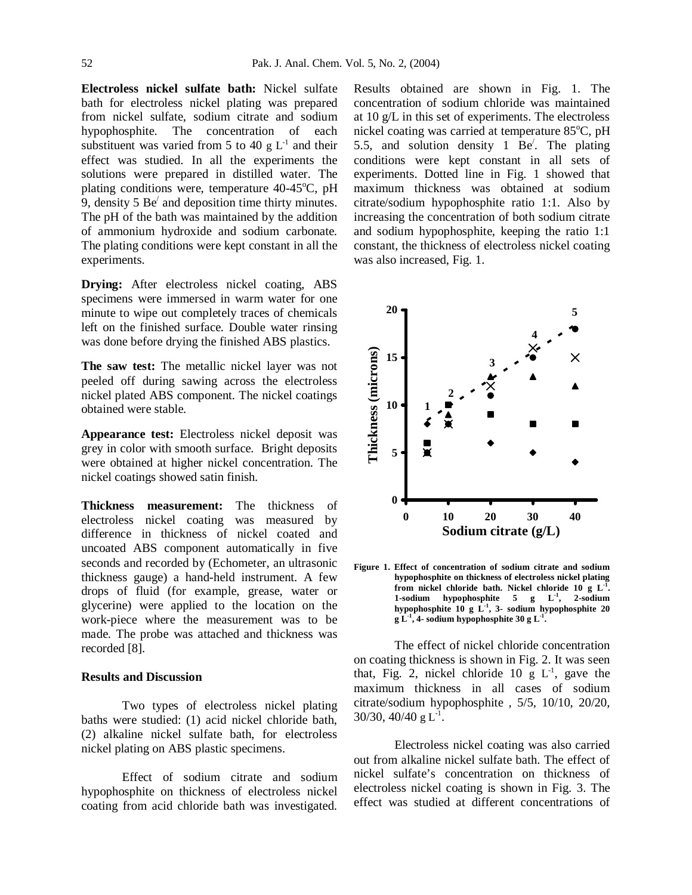**Electroless nickel sulfate bath:** Nickel sulfate bath for electroless nickel plating was prepared from nickel sulfate, sodium citrate and sodium hypophosphite. The concentration of each substituent was varied from 5 to 40  $g L^{-1}$  and their effect was studied. In all the experiments the solutions were prepared in distilled water. The plating conditions were, temperature  $40-45^{\circ}$ C, pH 9, density 5  $Be'$  and deposition time thirty minutes. The pH of the bath was maintained by the addition of ammonium hydroxide and sodium carbonate. The plating conditions were kept constant in all the experiments.

**Drying:** After electroless nickel coating, ABS specimens were immersed in warm water for one minute to wipe out completely traces of chemicals left on the finished surface. Double water rinsing was done before drying the finished ABS plastics.

**The saw test:** The metallic nickel layer was not peeled off during sawing across the electroless nickel plated ABS component. The nickel coatings obtained were stable.

**Appearance test:** Electroless nickel deposit was grey in color with smooth surface. Bright deposits were obtained at higher nickel concentration. The nickel coatings showed satin finish.

**Thickness measurement:** The thickness of electroless nickel coating was measured by difference in thickness of nickel coated and uncoated ABS component automatically in five seconds and recorded by (Echometer, an ultrasonic thickness gauge) a hand-held instrument. A few drops of fluid (for example, grease, water or glycerine) were applied to the location on the work-piece where the measurement was to be made. The probe was attached and thickness was recorded [8].

### **Results and Discussion**

Two types of electroless nickel plating baths were studied: (1) acid nickel chloride bath, (2) alkaline nickel sulfate bath, for electroless nickel plating on ABS plastic specimens.

Effect of sodium citrate and sodium hypophosphite on thickness of electroless nickel coating from acid chloride bath was investigated.

Results obtained are shown in Fig. 1. The concentration of sodium chloride was maintained at 10 g/L in this set of experiments. The electroless nickel coating was carried at temperature  $85^{\circ}$ C, pH 5.5, and solution density 1 Be/ . The plating conditions were kept constant in all sets of experiments. Dotted line in Fig. 1 showed that maximum thickness was obtained at sodium citrate/sodium hypophosphite ratio 1:1. Also by increasing the concentration of both sodium citrate and sodium hypophosphite, keeping the ratio 1:1 constant, the thickness of electroless nickel coating was also increased, Fig. 1.



**Figure 1. Effect of concentration of sodium citrate and sodium hypophosphite on thickness of electroless nickel plating from nickel chloride bath. Nickel chloride 10 g L-1 . 1-sodium hypophosphite 5 g L-1 , 2-sodium hypophosphite 10 g L-1 , 3- sodium hypophosphite 20 g L-1 , 4- sodium hypophosphite 30 g L-1 .**

The effect of nickel chloride concentration on coating thickness is shown in Fig. 2. It was seen that, Fig. 2, nickel chloride 10 g  $L^{-1}$ , gave the maximum thickness in all cases of sodium citrate/sodium hypophosphite , 5/5, 10/10, 20/20,  $30/30$ ,  $40/40$  g L<sup>-1</sup>.

Electroless nickel coating was also carried out from alkaline nickel sulfate bath. The effect of nickel sulfate's concentration on thickness of electroless nickel coating is shown in Fig. 3. The effect was studied at different concentrations of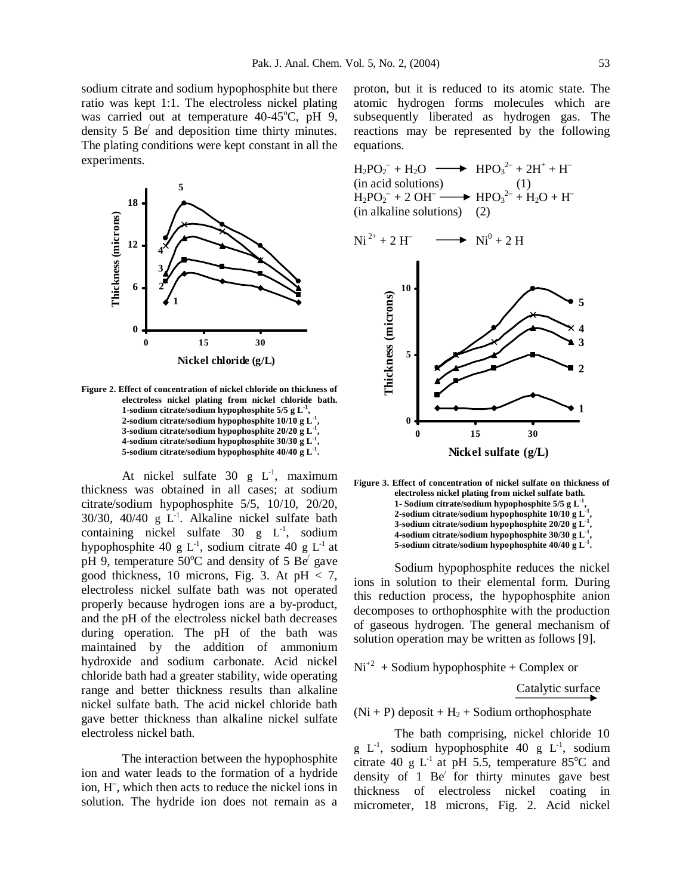sodium citrate and sodium hypophosphite but there ratio was kept 1:1. The electroless nickel plating was carried out at temperature  $40-45^{\circ}$ C, pH 9, density 5 Be/ and deposition time thirty minutes. The plating conditions were kept constant in all the experiments.



**Figure 2. Effect of concentration of nickel chloride on thickness of electroless nickel plating from nickel chloride bath. 1-sodium citrate/sodium hypophosphite 5/5 g L-1 , 2-sodium citrate/sodium hypophosphite 10/10 g L-1 , 3-sodium citrate/sodium hypophosphite 20/20 g L-1 , 4-sodium citrate/sodium hypophosphite 30/30 g L-1 , 5-sodium citrate/sodium hypophosphite 40/40 g L-1 .**

At nickel sulfate  $30 \text{ g L}^{-1}$ , maximum thickness was obtained in all cases; at sodium citrate/sodium hypophosphite 5/5, 10/10, 20/20,  $30/30$ ,  $40/40$  g L<sup>-1</sup>. Alkaline nickel sulfate bath containing nickel sulfate  $30 \text{ g L}^1$ , sodium hypophosphite 40 g  $L^{-1}$ , sodium citrate 40 g  $L^{-1}$  at pH 9, temperature 50 $^{\circ}$ C and density of 5 Be $'$  gave good thickness, 10 microns, Fig. 3. At  $pH < 7$ , electroless nickel sulfate bath was not operated properly because hydrogen ions are a by-product, and the pH of the electroless nickel bath decreases during operation. The pH of the bath was maintained by the addition of ammonium hydroxide and sodium carbonate. Acid nickel chloride bath had a greater stability, wide operating range and better thickness results than alkaline nickel sulfate bath. The acid nickel chloride bath gave better thickness than alkaline nickel sulfate electroless nickel bath.

The interaction between the hypophosphite ion and water leads to the formation of a hydride ion, H– , which then acts to reduce the nickel ions in solution. The hydride ion does not remain as a

proton, but it is reduced to its atomic state. The atomic hydrogen forms molecules which are subsequently liberated as hydrogen gas. The reactions may be represented by the following equations.

 $\rightarrow$  Ni<sup>0</sup> + 2 H

$$
H_2PO_2^- + H_2O \longrightarrow HPO_3^{2-} + 2H^+ + H^-
$$
  
(in acid solutions)  

$$
H_2PO_2^- + 2OH \longrightarrow HPO_3^{2-} + H_2O + H^-
$$
  
(in alkaline solutions)  
(2)

Ni 2+ + 2 H– Ni<sup>0</sup> **1 2 3 4 5 0 5 10 0 15 30 Nickel sulfate (g/L) Thickness (microns)**



Sodium hypophosphite reduces the nickel ions in solution to their elemental form. During this reduction process, the hypophosphite anion decomposes to orthophosphite with the production of gaseous hydrogen. The general mechanism of solution operation may be written as follows [9].

 $Ni^{+2}$  + Sodium hypophosphite + Complex or

Catalytic surface

 $(Ni + P)$  deposit +  $H_2$  + Sodium orthophosphate

The bath comprising, nickel chloride 10  $g L^{-1}$ , sodium hypophosphite 40  $g L^{-1}$ , sodium citrate 40 g  $L^{-1}$  at pH 5.5, temperature 85<sup>o</sup>C and density of 1  $Be'$  for thirty minutes gave best thickness of electroless nickel coating in micrometer, 18 microns, Fig. 2. Acid nickel